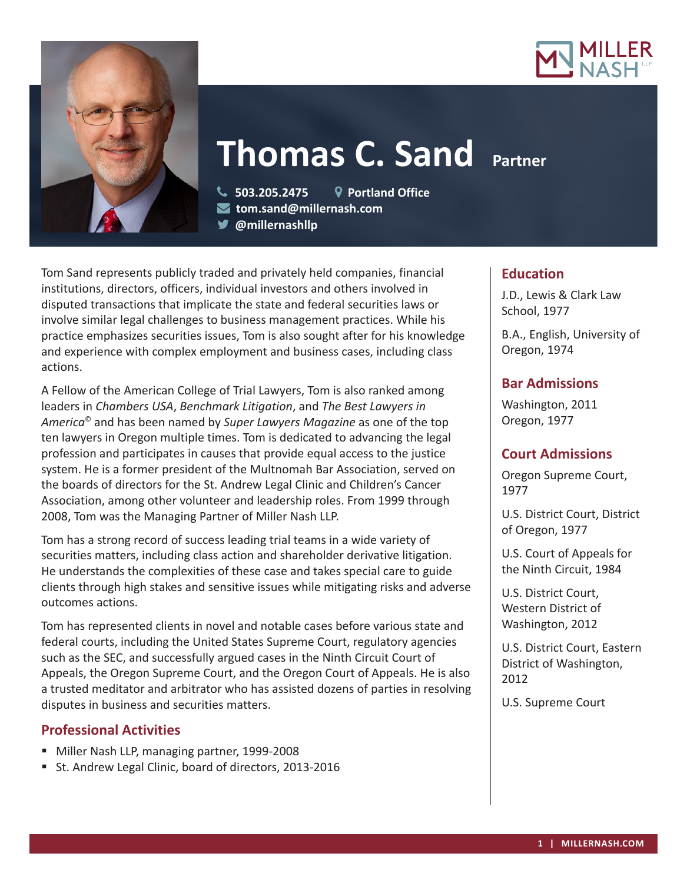



# **Thomas C. Sand Partner**

 **503.205.2475 Portland Office tom.sand@millernash.com @millernashllp** 

Tom Sand represents publicly traded and privately held companies, financial institutions, directors, officers, individual investors and others involved in disputed transactions that implicate the state and federal securities laws or involve similar legal challenges to business management practices. While his practice emphasizes securities issues, Tom is also sought after for his knowledge and experience with complex employment and business cases, including class actions.

A Fellow of the American College of Trial Lawyers, Tom is also ranked among leaders in *Chambers USA*, *Benchmark Litigation*, and *The Best Lawyers in America*© and has been named by *Super Lawyers Magazine* as one of the top ten lawyers in Oregon multiple times. Tom is dedicated to advancing the legal profession and participates in causes that provide equal access to the justice system. He is a former president of the Multnomah Bar Association, served on the boards of directors for the St. Andrew Legal Clinic and Children's Cancer Association, among other volunteer and leadership roles. From 1999 through 2008, Tom was the Managing Partner of Miller Nash LLP.

Tom has a strong record of success leading trial teams in a wide variety of securities matters, including class action and shareholder derivative litigation. He understands the complexities of these case and takes special care to guide clients through high stakes and sensitive issues while mitigating risks and adverse outcomes actions.

Tom has represented clients in novel and notable cases before various state and federal courts, including the United States Supreme Court, regulatory agencies such as the SEC, and successfully argued cases in the Ninth Circuit Court of Appeals, the Oregon Supreme Court, and the Oregon Court of Appeals. He is also a trusted meditator and arbitrator who has assisted dozens of parties in resolving disputes in business and securities matters.

## **Professional Activities**

- Miller Nash LLP, managing partner, 1999-2008
- St. Andrew Legal Clinic, board of directors, 2013-2016

# **Education**

J.D., Lewis & Clark Law School, 1977

B.A., English, University of Oregon, 1974

## **Bar Admissions**

Washington, 2011 Oregon, 1977

## **Court Admissions**

Oregon Supreme Court, 1977

U.S. District Court, District of Oregon, 1977

U.S. Court of Appeals for the Ninth Circuit, 1984

U.S. District Court, Western District of Washington, 2012

U.S. District Court, Eastern District of Washington, 2012

U.S. Supreme Court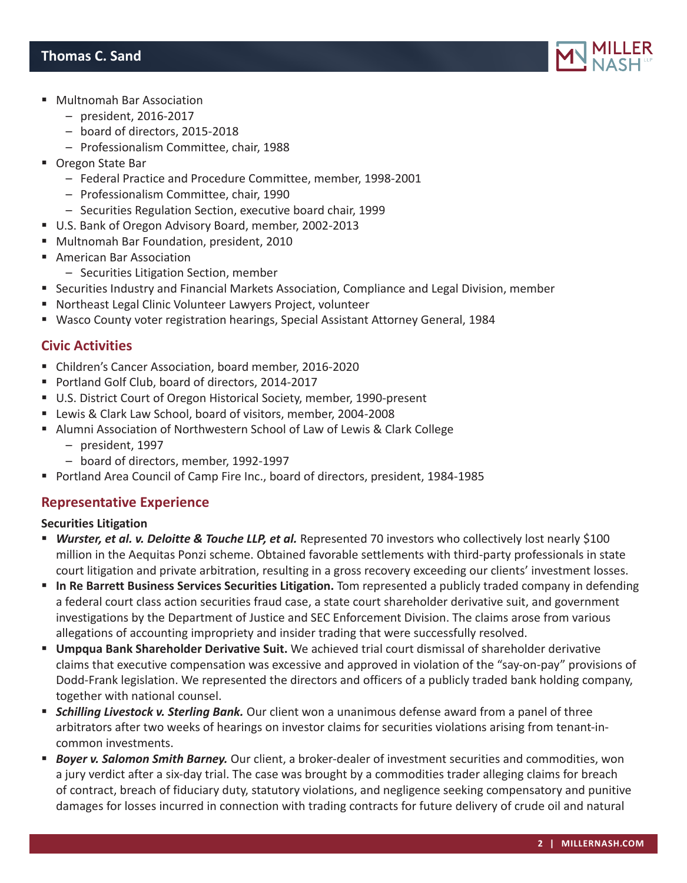

- Multnomah Bar Association
	- president, 2016-2017
	- board of directors, 2015-2018
	- Professionalism Committee, chair, 1988
- Oregon State Bar
	- Federal Practice and Procedure Committee, member, 1998-2001
	- Professionalism Committee, chair, 1990
	- Securities Regulation Section, executive board chair, 1999
- U.S. Bank of Oregon Advisory Board, member, 2002-2013
- Multnomah Bar Foundation, president, 2010
- **American Bar Association** 
	- Securities Litigation Section, member
- **Securities Industry and Financial Markets Association, Compliance and Legal Division, member**
- Northeast Legal Clinic Volunteer Lawyers Project, volunteer
- Wasco County voter registration hearings, Special Assistant Attorney General, 1984

## **Civic Activities**

- Children's Cancer Association, board member, 2016-2020
- Portland Golf Club, board of directors, 2014-2017
- U.S. District Court of Oregon Historical Society, member, 1990-present
- Lewis & Clark Law School, board of visitors, member, 2004-2008
- Alumni Association of Northwestern School of Law of Lewis & Clark College
	- president, 1997
	- board of directors, member, 1992-1997
- Portland Area Council of Camp Fire Inc., board of directors, president, 1984-1985

## **Representative Experience**

#### **Securities Litigation**

- **Wurster, et al. v. Deloitte & Touche LLP, et al.** Represented 70 investors who collectively lost nearly \$100 million in the Aequitas Ponzi scheme. Obtained favorable settlements with third-party professionals in state court litigation and private arbitration, resulting in a gross recovery exceeding our clients' investment losses.
- **In Re Barrett Business Services Securities Litigation.** Tom represented a publicly traded company in defending a federal court class action securities fraud case, a state court shareholder derivative suit, and government investigations by the Department of Justice and SEC Enforcement Division. The claims arose from various allegations of accounting impropriety and insider trading that were successfully resolved.
- **Umpqua Bank Shareholder Derivative Suit.** We achieved trial court dismissal of shareholder derivative claims that executive compensation was excessive and approved in violation of the "say-on-pay" provisions of Dodd-Frank legislation. We represented the directors and officers of a publicly traded bank holding company, together with national counsel.
- **Schilling Livestock v. Sterling Bank.** Our client won a unanimous defense award from a panel of three arbitrators after two weeks of hearings on investor claims for securities violations arising from tenant-incommon investments.
- *Boyer v. Salomon Smith Barney.* Our client, a broker-dealer of investment securities and commodities, won a jury verdict after a six-day trial. The case was brought by a commodities trader alleging claims for breach of contract, breach of fiduciary duty, statutory violations, and negligence seeking compensatory and punitive damages for losses incurred in connection with trading contracts for future delivery of crude oil and natural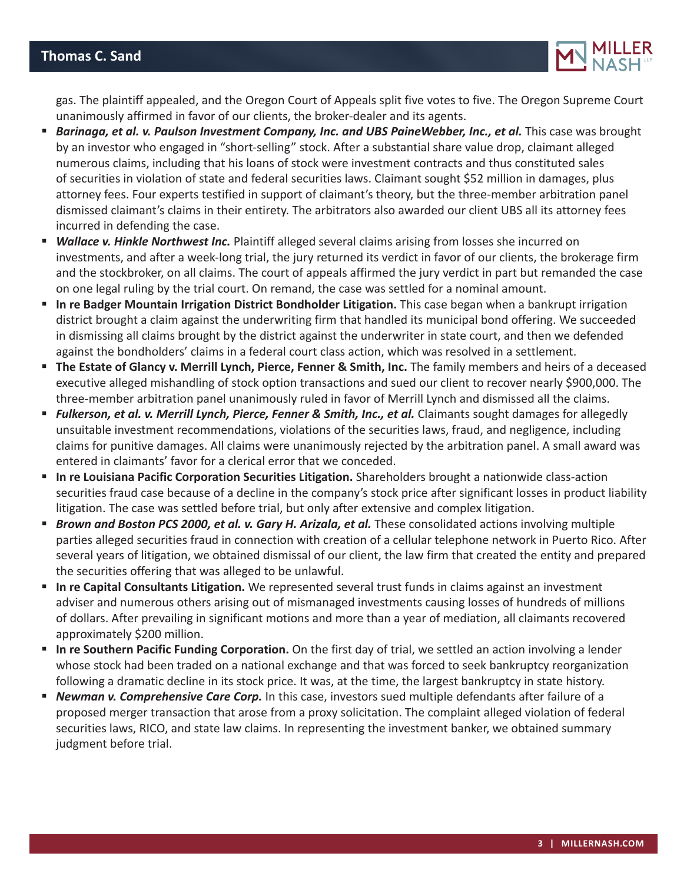# **Thomas C. Sand**



gas. The plaintiff appealed, and the Oregon Court of Appeals split five votes to five. The Oregon Supreme Court unanimously affirmed in favor of our clients, the broker-dealer and its agents.

- **Barinaga, et al. v. Paulson Investment Company, Inc. and UBS PaineWebber, Inc., et al. This case was brought 4** by an investor who engaged in "short-selling" stock. After a substantial share value drop, claimant alleged numerous claims, including that his loans of stock were investment contracts and thus constituted sales of securities in violation of state and federal securities laws. Claimant sought \$52 million in damages, plus attorney fees. Four experts testified in support of claimant's theory, but the three-member arbitration panel dismissed claimant's claims in their entirety. The arbitrators also awarded our client UBS all its attorney fees incurred in defending the case.
- *Wallace v. Hinkle Northwest Inc.* Plaintiff alleged several claims arising from losses she incurred on investments, and after a week-long trial, the jury returned its verdict in favor of our clients, the brokerage firm and the stockbroker, on all claims. The court of appeals affirmed the jury verdict in part but remanded the case on one legal ruling by the trial court. On remand, the case was settled for a nominal amount.
- **In re Badger Mountain Irrigation District Bondholder Litigation.** This case began when a bankrupt irrigation district brought a claim against the underwriting firm that handled its municipal bond offering. We succeeded in dismissing all claims brought by the district against the underwriter in state court, and then we defended against the bondholders' claims in a federal court class action, which was resolved in a settlement.
- **The Estate of Glancy v. Merrill Lynch, Pierce, Fenner & Smith, Inc.** The family members and heirs of a deceased executive alleged mishandling of stock option transactions and sued our client to recover nearly \$900,000. The three-member arbitration panel unanimously ruled in favor of Merrill Lynch and dismissed all the claims.
- **Fulkerson, et al. v. Merrill Lynch, Pierce, Fenner & Smith, Inc., et al.** Claimants sought damages for allegedly unsuitable investment recommendations, violations of the securities laws, fraud, and negligence, including claims for punitive damages. All claims were unanimously rejected by the arbitration panel. A small award was entered in claimants' favor for a clerical error that we conceded.
- **In re Louisiana Pacific Corporation Securities Litigation.** Shareholders brought a nationwide class-action securities fraud case because of a decline in the company's stock price after significant losses in product liability litigation. The case was settled before trial, but only after extensive and complex litigation.
- **Brown and Boston PCS 2000, et al. v. Gary H. Arizala, et al.** These consolidated actions involving multiple parties alleged securities fraud in connection with creation of a cellular telephone network in Puerto Rico. After several years of litigation, we obtained dismissal of our client, the law firm that created the entity and prepared the securities offering that was alleged to be unlawful.
- **In re Capital Consultants Litigation.** We represented several trust funds in claims against an investment adviser and numerous others arising out of mismanaged investments causing losses of hundreds of millions of dollars. After prevailing in significant motions and more than a year of mediation, all claimants recovered approximately \$200 million.
- **In re Southern Pacific Funding Corporation.** On the first day of trial, we settled an action involving a lender whose stock had been traded on a national exchange and that was forced to seek bankruptcy reorganization following a dramatic decline in its stock price. It was, at the time, the largest bankruptcy in state history.
- *Newman v. Comprehensive Care Corp.* In this case, investors sued multiple defendants after failure of a proposed merger transaction that arose from a proxy solicitation. The complaint alleged violation of federal securities laws, RICO, and state law claims. In representing the investment banker, we obtained summary judgment before trial.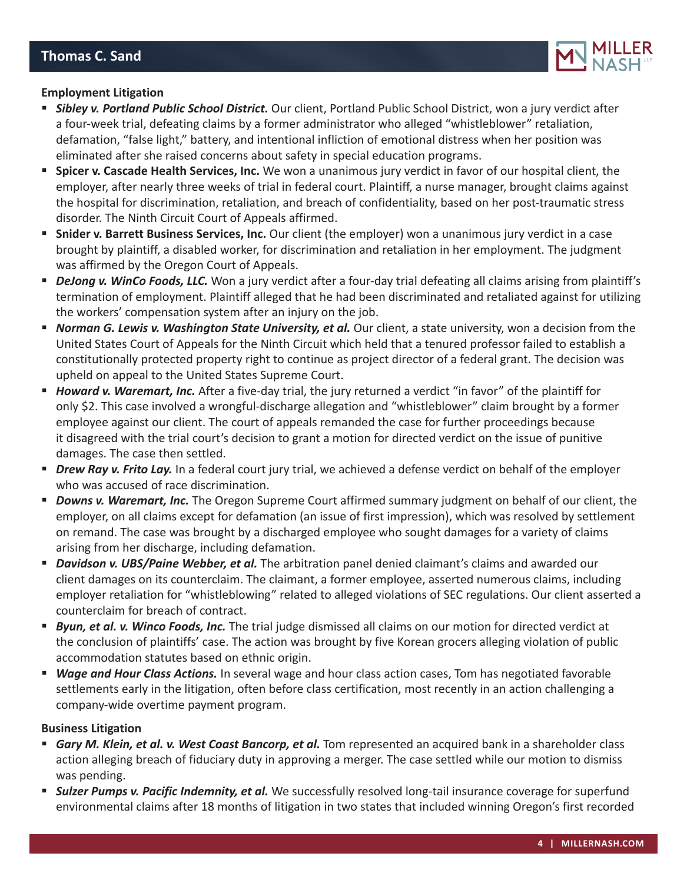

#### **Employment Litigation**

- *Sibley v. Portland Public School District.* Our client, Portland Public School District, won a jury verdict after a four-week trial, defeating claims by a former administrator who alleged "whistleblower" retaliation, defamation, "false light," battery, and intentional infliction of emotional distress when her position was eliminated after she raised concerns about safety in special education programs.
- **Spicer v. Cascade Health Services, Inc.** We won a unanimous jury verdict in favor of our hospital client, the employer, after nearly three weeks of trial in federal court. Plaintiff, a nurse manager, brought claims against the hospital for discrimination, retaliation, and breach of confidentiality, based on her post-traumatic stress disorder. The Ninth Circuit Court of Appeals affirmed.
- **Snider v. Barrett Business Services, Inc.** Our client (the employer) won a unanimous jury verdict in a case brought by plaintiff, a disabled worker, for discrimination and retaliation in her employment. The judgment was affirmed by the Oregon Court of Appeals.
- *DeJong v. WinCo Foods, LLC.* Won a jury verdict after a four-day trial defeating all claims arising from plaintiff's termination of employment. Plaintiff alleged that he had been discriminated and retaliated against for utilizing the workers' compensation system after an injury on the job.
- **Norman G. Lewis v. Washington State University, et al.** Our client, a state university, won a decision from the United States Court of Appeals for the Ninth Circuit which held that a tenured professor failed to establish a constitutionally protected property right to continue as project director of a federal grant. The decision was upheld on appeal to the United States Supreme Court.
- *Howard v. Waremart, Inc.* After a five-day trial, the jury returned a verdict "in favor" of the plaintiff for only \$2. This case involved a wrongful-discharge allegation and "whistleblower" claim brought by a former employee against our client. The court of appeals remanded the case for further proceedings because it disagreed with the trial court's decision to grant a motion for directed verdict on the issue of punitive damages. The case then settled.
- *Drew Ray v. Frito Lay.* In a federal court jury trial, we achieved a defense verdict on behalf of the employer who was accused of race discrimination.
- **Downs v. Waremart, Inc.** The Oregon Supreme Court affirmed summary judgment on behalf of our client, the employer, on all claims except for defamation (an issue of first impression), which was resolved by settlement on remand. The case was brought by a discharged employee who sought damages for a variety of claims arising from her discharge, including defamation.
- **Davidson v. UBS/Paine Webber, et al.** The arbitration panel denied claimant's claims and awarded our client damages on its counterclaim. The claimant, a former employee, asserted numerous claims, including employer retaliation for "whistleblowing" related to alleged violations of SEC regulations. Our client asserted a counterclaim for breach of contract.
- **Byun, et al. v. Winco Foods, Inc.** The trial judge dismissed all claims on our motion for directed verdict at the conclusion of plaintiffs' case. The action was brought by five Korean grocers alleging violation of public accommodation statutes based on ethnic origin.
- *Wage and Hour Class Actions.* In several wage and hour class action cases, Tom has negotiated favorable settlements early in the litigation, often before class certification, most recently in an action challenging a company-wide overtime payment program.

#### **Business Litigation**

- **Gary M. Klein, et al. v. West Coast Bancorp, et al.** Tom represented an acquired bank in a shareholder class action alleging breach of fiduciary duty in approving a merger. The case settled while our motion to dismiss was pending.
- **Sulzer Pumps v. Pacific Indemnity, et al.** We successfully resolved long-tail insurance coverage for superfund environmental claims after 18 months of litigation in two states that included winning Oregon's first recorded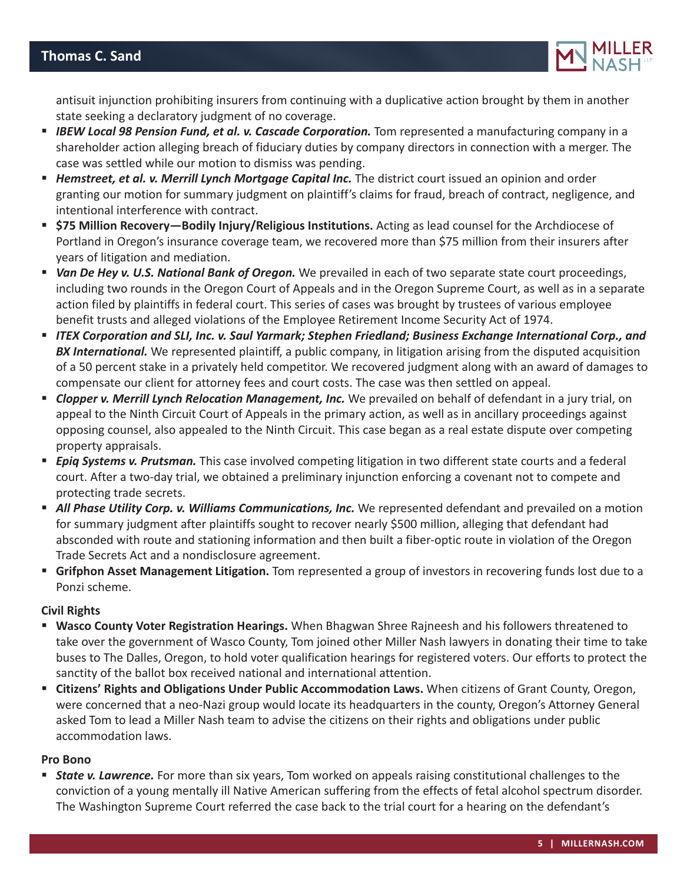

antisuit injunction prohibiting insurers from continuing with a duplicative action brought by them in another state seeking a declaratory judgment of no coverage.

- **IBEW Local 98 Pension Fund, et al. v. Cascade Corporation.** Tom represented a manufacturing company in a shareholder action alleging breach of fiduciary duties by company directors in connection with a merger. The case was settled while our motion to dismiss was pending.
- *Hemstreet, et al. v. Merrill Lynch Mortgage Capital Inc.* The district court issued an opinion and order granting our motion for summary judgment on plaintiff's claims for fraud, breach of contract, negligence, and intentional interference with contract.
- **\$75 Million Recovery—Bodily Injury/Religious Institutions.** Acting as lead counsel for the Archdiocese of Portland in Oregon's insurance coverage team, we recovered more than \$75 million from their insurers after years of litigation and mediation.
- *Van De Hey v. U.S. National Bank of Oregon.* We prevailed in each of two separate state court proceedings, including two rounds in the Oregon Court of Appeals and in the Oregon Supreme Court, as well as in a separate action filed by plaintiffs in federal court. This series of cases was brought by trustees of various employee benefit trusts and alleged violations of the Employee Retirement Income Security Act of 1974.
- *ITEX Corporation and SLI, Inc. v. Saul Yarmark; Stephen Friedland; Business Exchange International Corp., and BX International.* We represented plaintiff, a public company, in litigation arising from the disputed acquisition of a 50 percent stake in a privately held competitor. We recovered judgment along with an award of damages to compensate our client for attorney fees and court costs. The case was then settled on appeal.
- **Clopper v. Merrill Lynch Relocation Management, Inc.** We prevailed on behalf of defendant in a jury trial, on appeal to the Ninth Circuit Court of Appeals in the primary action, as well as in ancillary proceedings against opposing counsel, also appealed to the Ninth Circuit. This case began as a real estate dispute over competing property appraisals.
- *Epiq Systems v. Prutsman.* This case involved competing litigation in two different state courts and a federal court. After a two-day trial, we obtained a preliminary injunction enforcing a covenant not to compete and protecting trade secrets.
- **All Phase Utility Corp. v. Williams Communications, Inc.** We represented defendant and prevailed on a motion for summary judgment after plaintiffs sought to recover nearly \$500 million, alleging that defendant had absconded with route and stationing information and then built a fiber-optic route in violation of the Oregon Trade Secrets Act and a nondisclosure agreement.
- **Grifphon Asset Management Litigation.** Tom represented a group of investors in recovering funds lost due to a Ponzi scheme.

#### **Civil Rights**

- **Wasco County Voter Registration Hearings.** When Bhagwan Shree Rajneesh and his followers threatened to take over the government of Wasco County, Tom joined other Miller Nash lawyers in donating their time to take buses to The Dalles, Oregon, to hold voter qualification hearings for registered voters. Our efforts to protect the sanctity of the ballot box received national and international attention.
- **Citizens' Rights and Obligations Under Public Accommodation Laws.** When citizens of Grant County, Oregon, were concerned that a neo-Nazi group would locate its headquarters in the county, Oregon's Attorney General asked Tom to lead a Miller Nash team to advise the citizens on their rights and obligations under public accommodation laws.

#### **Pro Bono**

 *State v. Lawrence.* For more than six years, Tom worked on appeals raising constitutional challenges to the conviction of a young mentally ill Native American suffering from the effects of fetal alcohol spectrum disorder. The Washington Supreme Court referred the case back to the trial court for a hearing on the defendant's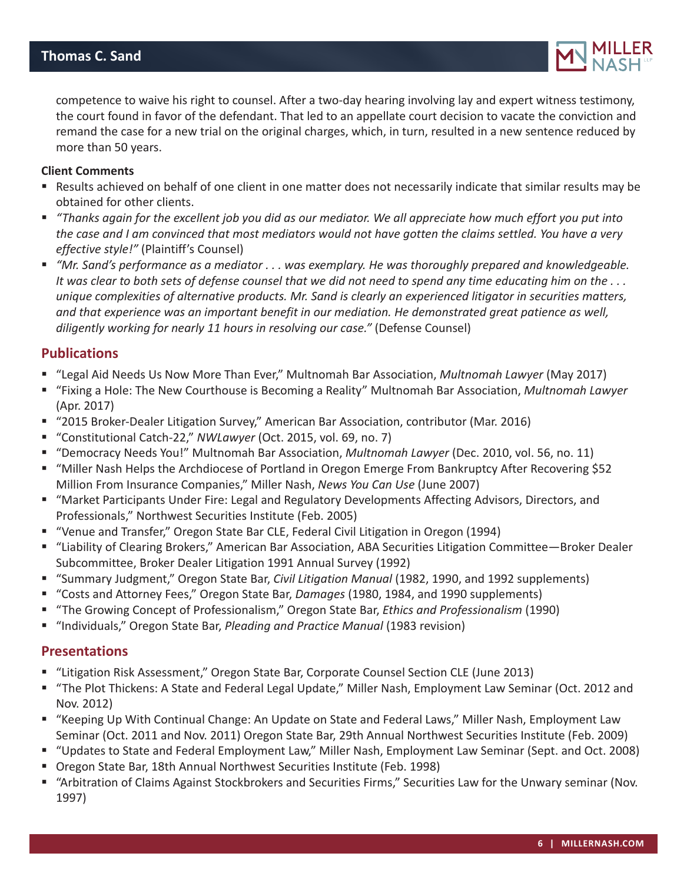

competence to waive his right to counsel. After a two-day hearing involving lay and expert witness testimony, the court found in favor of the defendant. That led to an appellate court decision to vacate the conviction and remand the case for a new trial on the original charges, which, in turn, resulted in a new sentence reduced by more than 50 years.

#### **Client Comments**

- Results achieved on behalf of one client in one matter does not necessarily indicate that similar results may be obtained for other clients.
- *"Thanks again for the excellent job you did as our mediator. We all appreciate how much effort you put into the case and I am convinced that most mediators would not have gotten the claims settled. You have a very effective style!"* (Plaintiff's Counsel)
- *"Mr. Sand's performance as a mediator . . . was exemplary. He was thoroughly prepared and knowledgeable. It was clear to both sets of defense counsel that we did not need to spend any time educating him on the . . . unique complexities of alternative products. Mr. Sand is clearly an experienced litigator in securities matters, and that experience was an important benefit in our mediation. He demonstrated great patience as well, diligently working for nearly 11 hours in resolving our case."* (Defense Counsel)

#### **Publications**

- "Legal Aid Needs Us Now More Than Ever," Multnomah Bar Association, *Multnomah Lawyer* (May 2017)
- "Fixing a Hole: The New Courthouse is Becoming a Reality" Multnomah Bar Association, *Multnomah Lawyer* (Apr. 2017)
- "2015 Broker-Dealer Litigation Survey," American Bar Association, contributor (Mar. 2016)
- "Constitutional Catch-22," *NWLawyer* (Oct. 2015, vol. 69, no. 7)
- "Democracy Needs You!" Multnomah Bar Association, *Multnomah Lawyer* (Dec. 2010, vol. 56, no. 11)
- "Miller Nash Helps the Archdiocese of Portland in Oregon Emerge From Bankruptcy After Recovering \$52 Million From Insurance Companies," Miller Nash, *News You Can Use* (June 2007)
- "Market Participants Under Fire: Legal and Regulatory Developments Affecting Advisors, Directors, and Professionals," Northwest Securities Institute (Feb. 2005)
- "Venue and Transfer," Oregon State Bar CLE, Federal Civil Litigation in Oregon (1994)
- "Liability of Clearing Brokers," American Bar Association, ABA Securities Litigation Committee—Broker Dealer Subcommittee, Broker Dealer Litigation 1991 Annual Survey (1992)
- "Summary Judgment," Oregon State Bar, *Civil Litigation Manual* (1982, 1990, and 1992 supplements)
- "Costs and Attorney Fees," Oregon State Bar, *Damages* (1980, 1984, and 1990 supplements)
- "The Growing Concept of Professionalism," Oregon State Bar, *Ethics and Professionalism* (1990)
- "Individuals," Oregon State Bar, *Pleading and Practice Manual* (1983 revision)

#### **Presentations**

- "Litigation Risk Assessment," Oregon State Bar, Corporate Counsel Section CLE (June 2013)
- "The Plot Thickens: A State and Federal Legal Update," Miller Nash, Employment Law Seminar (Oct. 2012 and Nov. 2012)
- "Keeping Up With Continual Change: An Update on State and Federal Laws," Miller Nash, Employment Law Seminar (Oct. 2011 and Nov. 2011) Oregon State Bar, 29th Annual Northwest Securities Institute (Feb. 2009)
- "Updates to State and Federal Employment Law," Miller Nash, Employment Law Seminar (Sept. and Oct. 2008)
- Oregon State Bar, 18th Annual Northwest Securities Institute (Feb. 1998)
- "Arbitration of Claims Against Stockbrokers and Securities Firms," Securities Law for the Unwary seminar (Nov. 1997)